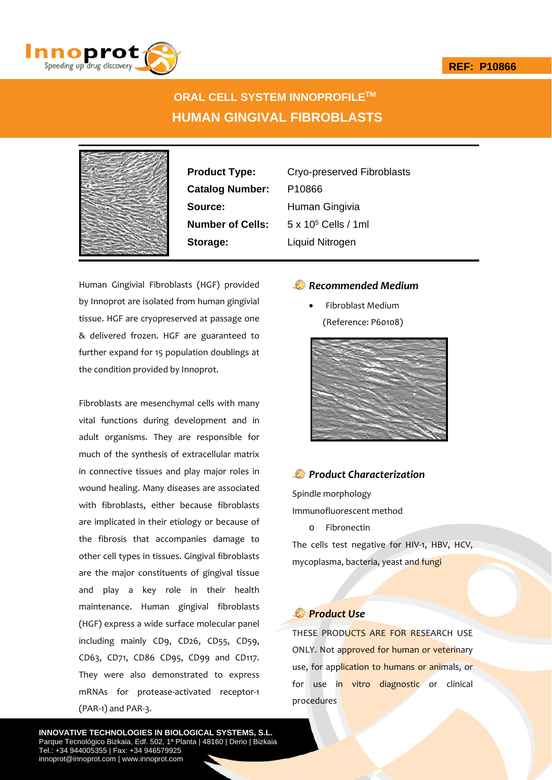

# **ORAL CELL SYSTEM INNOPROFILETM HUMAN GINGIVAL FIBROBLASTS**



**Catalog Number:** P10866 **Source:** Human Gingivia **Storage:** Liquid Nitrogen

**Product Type:** Cryo-preserved Fibroblasts **Number of Cells:** 5 x 10<sup>5</sup> Cells / 1ml

Human Gingivial Fibroblasts (HGF) provided by Innoprot are isolated from human gingivial tissue. HGF are cryopreserved at passage one & delivered frozen. HGF are guaranteed to further expand for 15 population doublings at the condition provided by Innoprot.

Fibroblasts are mesenchymal cells with many vital functions during development and in adult organisms. They are responsible for much of the synthesis of extracellular matrix in connective tissues and play major roles in wound healing. Many diseases are associated with fibroblasts, either because fibroblasts are implicated in their etiology or because of the fibrosis that accompanies damage to other cell types in tissues. Gingival fibroblasts are the major constituents of gingival tissue and play a key role in their health maintenance. Human gingival fibroblasts (HGF) express a wide surface molecular panel including mainly CD9, CD26, CD55, CD59, CD63, CD71, CD86 CD95, CD99 and CD117. They were also demonstrated to express mRNAs for protease‐activated receptor‐1 (PAR‐1) and PAR‐3.

*Recommended Medium* 

 Fibroblast Medium (Reference: P60108)



# *Product Characterization*

Spindle morphology

Immunofluorescent method

o Fibronectin

The cells test negative for HIV-1, HBV, HCV, mycoplasma, bacteria, yeast and fungi

# *Product Use*

THESE PRODUCTS ARE FOR RESEARCH USE ONLY. Not approved for human or veterinary use, for application to humans or animals, or for use in vitro diagnostic or clinical procedures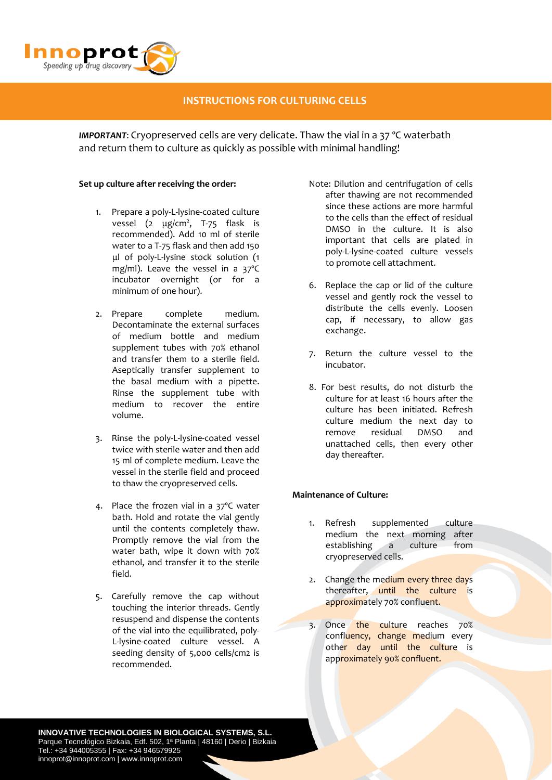

# **INSTRUCTIONS FOR CULTURING CELLS**

*IMPORTANT*: Cryopreserved cells are very delicate. Thaw the vial in a 37 ºC waterbath and return them to culture as quickly as possible with minimal handling!

#### **Set up culture after receiving the order:**

- 1. Prepare a poly‐L‐lysine‐coated culture vessel (2 μg/cm<sup>2</sup>, T-75 flask is recommended). Add 10 ml of sterile water to a T‐75 flask and then add 150 μl of poly‐L‐lysine stock solution (1 mg/ml). Leave the vessel in a 37ºC incubator overnight (or for a minimum of one hour).
- 2. Prepare complete medium. Decontaminate the external surfaces of medium bottle and medium supplement tubes with 70% ethanol and transfer them to a sterile field. Aseptically transfer supplement to the basal medium with a pipette. Rinse the supplement tube with medium to recover the entire volume.
- 3. Rinse the poly‐L‐lysine‐coated vessel twice with sterile water and then add 15 ml of complete medium. Leave the vessel in the sterile field and proceed to thaw the cryopreserved cells.
- 4. Place the frozen vial in a 37ºC water bath. Hold and rotate the vial gently until the contents completely thaw. Promptly remove the vial from the water bath, wipe it down with 70% ethanol, and transfer it to the sterile field.
- 5. Carefully remove the cap without touching the interior threads. Gently resuspend and dispense the contents of the vial into the equilibrated, poly‐ L‐lysine‐coated culture vessel. A seeding density of 5,000 cells/cm2 is recommended.
- Note: Dilution and centrifugation of cells after thawing are not recommended since these actions are more harmful to the cells than the effect of residual DMSO in the culture. It is also important that cells are plated in poly‐L‐lysine‐coated culture vessels to promote cell attachment.
- 6. Replace the cap or lid of the culture vessel and gently rock the vessel to distribute the cells evenly. Loosen cap, if necessary, to allow gas exchange.
- 7. Return the culture vessel to the incubator.
- 8. For best results, do not disturb the culture for at least 16 hours after the culture has been initiated. Refresh culture medium the next day to remove residual DMSO and unattached cells, then every other day thereafter.

### **Maintenance of Culture:**

- 1. Refresh supplemented culture medium the next morning after establishing a culture from cryopreserved cells.
- 2. Change the medium every three days thereafter, until the culture is approximately 70% confluent.
- 3. Once the culture reaches 70% confluency, change medium every other day until the culture is approximately 90% confluent.